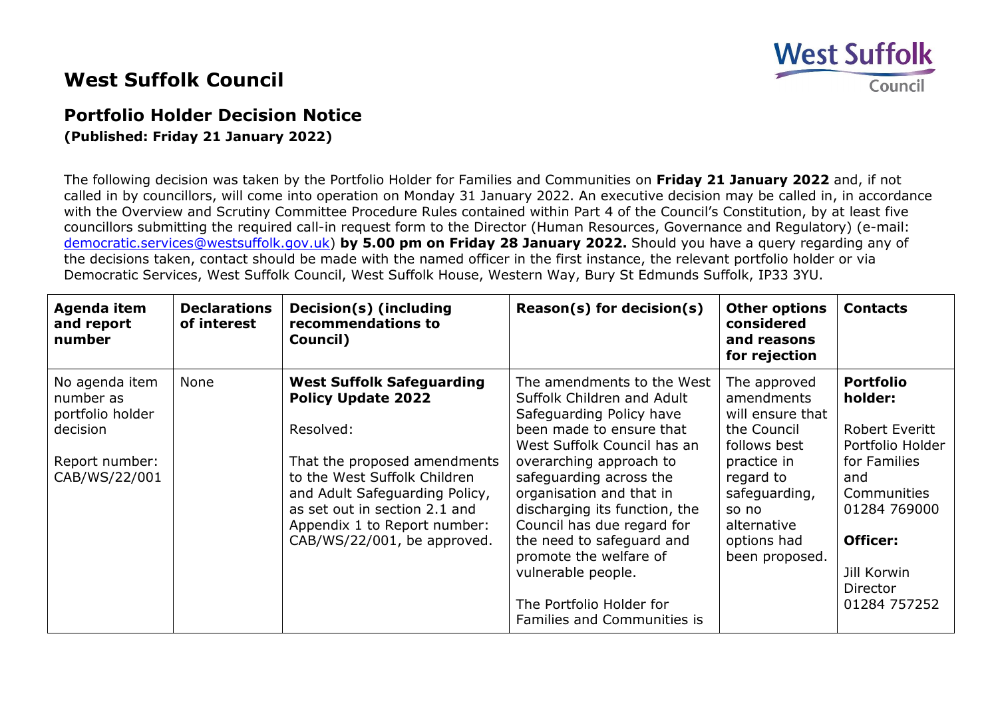## **West Suffolk**

Council

## **West Suffolk Council**

## **Portfolio Holder Decision Notice**

**(Published: Friday 21 January 2022)**

The following decision was taken by the Portfolio Holder for Families and Communities on **Friday 21 January 2022** and, if not called in by councillors, will come into operation on Monday 31 January 2022. An executive decision may be called in, in accordance with the Overview and Scrutiny Committee Procedure Rules contained within Part 4 of the Council's Constitution, by at least five councillors submitting the required call-in request form to the Director (Human Resources, Governance and Regulatory) (e-mail: [democratic.services@westsuffolk.gov.uk\)](mailto:democratic.services@westsuffolk.gov.uk) **by 5.00 pm on Friday 28 January 2022.** Should you have a query regarding any of the decisions taken, contact should be made with the named officer in the first instance, the relevant portfolio holder or via Democratic Services, West Suffolk Council, West Suffolk House, Western Way, Bury St Edmunds Suffolk, IP33 3YU.

| Agenda item<br>and report<br>number                         | <b>Declarations</b><br>of interest | Decision(s) (including<br>recommendations to<br>Council)                                                                                                                                       | $Reason(s)$ for decision(s)                                                                                                                                                                                                                                                                                          | <b>Other options</b><br>considered<br>and reasons<br>for rejection                                                 | <b>Contacts</b>                                                                                                                      |
|-------------------------------------------------------------|------------------------------------|------------------------------------------------------------------------------------------------------------------------------------------------------------------------------------------------|----------------------------------------------------------------------------------------------------------------------------------------------------------------------------------------------------------------------------------------------------------------------------------------------------------------------|--------------------------------------------------------------------------------------------------------------------|--------------------------------------------------------------------------------------------------------------------------------------|
| No agenda item<br>number as<br>portfolio holder<br>decision | None                               | <b>West Suffolk Safeguarding</b><br><b>Policy Update 2022</b><br>Resolved:                                                                                                                     | The amendments to the West<br>Suffolk Children and Adult<br>Safeguarding Policy have<br>been made to ensure that                                                                                                                                                                                                     | The approved<br>amendments<br>will ensure that<br>the Council                                                      | <b>Portfolio</b><br>holder:<br><b>Robert Everitt</b>                                                                                 |
| Report number:<br>CAB/WS/22/001                             |                                    | That the proposed amendments<br>to the West Suffolk Children<br>and Adult Safeguarding Policy,<br>as set out in section 2.1 and<br>Appendix 1 to Report number:<br>CAB/WS/22/001, be approved. | West Suffolk Council has an<br>overarching approach to<br>safeguarding across the<br>organisation and that in<br>discharging its function, the<br>Council has due regard for<br>the need to safeguard and<br>promote the welfare of<br>vulnerable people.<br>The Portfolio Holder for<br>Families and Communities is | follows best<br>practice in<br>regard to<br>safeguarding,<br>so no<br>alternative<br>options had<br>been proposed. | Portfolio Holder<br>for Families<br>and<br>Communities<br>01284 769000<br><b>Officer:</b><br>Jill Korwin<br>Director<br>01284 757252 |